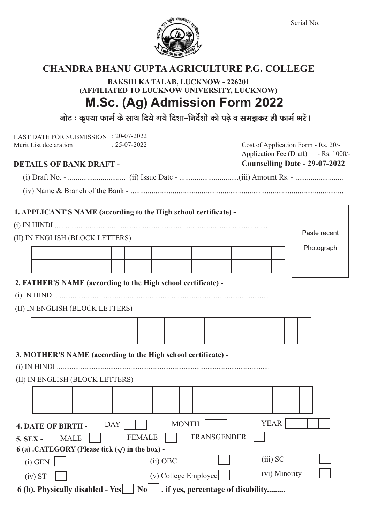

### **CHANDRA BHANU GUPTAAGRICULTURE P.G. COLLEGE**

**BAKSHI KA TALAB, LUCKNOW - 226201 (AFFILIATED TO LUCKNOW UNIVERSITY, LUCKNOW) M.Sc. (Ag) Admission Form 2022**

नोट : कृपया फार्म के साथ दिये गये दिशा-निर्देशों को पढ़े व समझकर ही फार्म भरें।

| LAST DATE FOR SUBMISSION : 20-07-2022<br>$: 25-07-2022$<br>Merit List declaration<br><b>DETAILS OF BANK DRAFT -</b> | Cost of Application Form - Rs. 20/-<br>Application Fee (Draft) - Rs. 1000/-<br>Counselling Date - 29-07-2022 |                    |
|---------------------------------------------------------------------------------------------------------------------|--------------------------------------------------------------------------------------------------------------|--------------------|
|                                                                                                                     |                                                                                                              |                    |
|                                                                                                                     |                                                                                                              |                    |
|                                                                                                                     |                                                                                                              |                    |
| 1. APPLICANT'S NAME (according to the High school certificate) -                                                    |                                                                                                              |                    |
|                                                                                                                     |                                                                                                              |                    |
| (II) IN ENGLISH (BLOCK LETTERS)                                                                                     |                                                                                                              | Paste recent       |
|                                                                                                                     |                                                                                                              | Photograph         |
|                                                                                                                     |                                                                                                              |                    |
|                                                                                                                     |                                                                                                              |                    |
| (II) IN ENGLISH (BLOCK LETTERS)                                                                                     |                                                                                                              |                    |
| 3. MOTHER'S NAME (according to the High school certificate) -                                                       |                                                                                                              |                    |
|                                                                                                                     |                                                                                                              |                    |
| (II) IN ENGLISH (BLOCK LETTERS)                                                                                     |                                                                                                              |                    |
|                                                                                                                     |                                                                                                              |                    |
| <b>DAY</b><br><b>4. DATE OF BIRTH -</b>                                                                             | <b>MONTH</b>                                                                                                 | <b>YEAR</b>        |
| <b>MALE</b><br><b>5. SEX -</b>                                                                                      | <b>FEMALE</b>                                                                                                | <b>TRANSGENDER</b> |
| 6 (a) .CATEGORY (Please tick $(\sqrt)$ in the box) -                                                                |                                                                                                              |                    |
| $(i)$ GEN                                                                                                           | $(ii)$ OBC                                                                                                   | $(iii)$ SC         |
| (iv) ST                                                                                                             | (v) College Employee                                                                                         | (vi) Minority      |
| 6 (b). Physically disabled - Yes   No   , if yes, percentage of disability                                          |                                                                                                              |                    |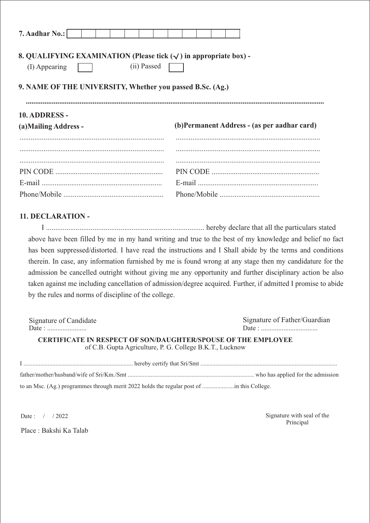| 7. Aadhar No.:                                                                            |  |  |  |             |  |  |  |  |                                              |
|-------------------------------------------------------------------------------------------|--|--|--|-------------|--|--|--|--|----------------------------------------------|
| 8. QUALIFYING EXAMINATION (Please tick $(\sqrt{})$ in appropriate box) -<br>(I) Appearing |  |  |  | (ii) Passed |  |  |  |  |                                              |
| 9. NAME OF THE UNIVERSITY, Whether you passed B.Sc. (Ag.)                                 |  |  |  |             |  |  |  |  |                                              |
| 10. ADDRESS -                                                                             |  |  |  |             |  |  |  |  |                                              |
| (a) Mailing Address -                                                                     |  |  |  |             |  |  |  |  | (b) Permanent Address - (as per aadhar card) |
|                                                                                           |  |  |  |             |  |  |  |  |                                              |
|                                                                                           |  |  |  |             |  |  |  |  |                                              |
|                                                                                           |  |  |  |             |  |  |  |  |                                              |
|                                                                                           |  |  |  |             |  |  |  |  |                                              |
|                                                                                           |  |  |  |             |  |  |  |  |                                              |
|                                                                                           |  |  |  |             |  |  |  |  |                                              |

#### **11. DECLARATION -**

I ..................................................................................... hereby declare that all the particulars stated above have been filled by me in my hand writing and true to the best of my knowledge and belief no fact has been suppressed/distorted. I have read the instructions and I Shall abide by the terms and conditions therein. In case, any information furnished by me is found wrong at any stage then my candidature for the admission be cancelled outright without giving me any opportunity and further disciplinary action be also taken against me including cancellation of admission/degree acquired. Further, if admitted I promise to abide by the rules and norms of discipline of the college.

| Signature of Candidate                                                                                                           | Signature of Father/Guardian |  |  |  |  |  |  |
|----------------------------------------------------------------------------------------------------------------------------------|------------------------------|--|--|--|--|--|--|
|                                                                                                                                  |                              |  |  |  |  |  |  |
| <b>CERTIFICATE IN RESPECT OF SON/DAUGHTER/SPOUSE OF THE EMPLOYEE</b><br>of C.B. Gupta Agriculture, P. G. College B.K.T., Lucknow |                              |  |  |  |  |  |  |
|                                                                                                                                  |                              |  |  |  |  |  |  |
|                                                                                                                                  |                              |  |  |  |  |  |  |

to an Msc. (Ag.) programmes through merit 2022 holds the regular post of .....................in this College.

Place : Bakshi Ka Talab

Date : / / 2022 Signature with seal of the Principal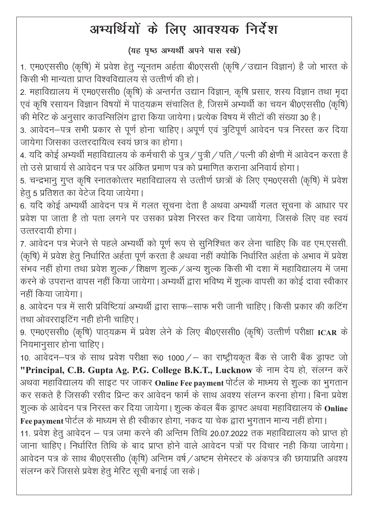## अभ्यर्थियों के लिए आवश्यक निर्देश

### (यह पष्ठ अभ्यर्थी अपने पास रखें)

1. एम0एससी0 (कृषि) में प्रवेश हेतु न्यूनतम अर्हता बी0एससी (कृषि / उद्यान विज्ञान) है जो भारत के किसी भी मान्यता प्राप्त विश्वविद्यालय से उत्तीर्ण की हो।

2. महाविद्यालय में एम0एससी0 (कृषि) के अन्तर्गत उद्यान विज्ञान, कृषि प्रसार, शस्य विज्ञान तथा मृदा एवं कृषि रसायन विज्ञान विषयों में पाठ्यक्रम संचालित है, जिसमें अभ्यर्थी का चयन बी0एससी0 (कृषि) की मेरिट के अनुसार काउन्सिलिंग द्वारा किया जायेगा। प्रत्येक विषय में सीटों की संख्या 30 है।

3. आवेदन-पत्र सभी प्रकार से पूर्ण होना चाहिए। अपूर्ण एवं त्रुटिपूर्ण आवेदन पत्र निरस्त कर दिया जायेगा जिसका उत्तरदायित्व स्वयं छात्र का होगा।

4. यदि कोई अभ्यर्थी महाविद्यालय के कर्मचारी के पुत्र / पुत्री / पति / पत्नी की क्षेणी में आवेदन करता है तो उसे प्राचार्य से आवेदन पत्र पर अंकित प्रमाण पत्र को प्रमाणित कराना अनिवार्य होगा ।

5. चन्द्रभानु गुप्त कृषि स्नातकोत्तर महाविद्यालय से उत्त्तीर्ण छात्रों के लिए एम0एससी (कृषि) में प्रवेश हेतु 5 प्रतिशत का वेटेज दिया जायेगा।

6. यदि कोई अभ्यर्थी आवेदन पत्र में गलत सूचना देता है अथवा अभ्यर्थी गलत सूचना के आधार पर प्रवेश पा जाता है तो पता लगने पर उसका प्रवेश निरस्त कर दिया जायेगा, जिसके लिए वह स्वयं उत्तरदायी होगा।

7. आवेदन पत्र भेजने से पहले अभ्यर्थी को पूर्ण रूप से सुनिश्चित कर लेना चाहिए कि वह एम.एससी. (कृषि) में प्रवेश हेतू निर्धारित अर्हता पूर्ण करता है अथवा नहीं क्योकि निर्धारित अर्हता के अभाव में प्रवेश संभव नहीं होगा तथा प्रवेश शुल्क / शिक्षण शुल्क / अन्य शुल्क किसी भी दशा में महाविद्यालय में जमा करने के उपरान्त वापस नहीं किया जायेगा। अभ्यर्थी द्वारा भविष्य में शुल्क वापसी का कोई दावा स्वीकार नहीं किया जायेगा।

8. आवेदन पत्र में सारी प्रविष्टियां अभ्यर्थी द्वारा साफ–साफ भरी जानी चाहिए। किसी प्रकार की कटिंग तथा ओवरराइटिंग नही होनी चाहिए।

9. एम0एससी0 (कृषि) पाठ्यक्रम में प्रवेश लेने के लिए बी0एससी0 (कृषि) उत्तीर्ण परीक्षा ICAR के नियमानुसार होना चाहिए।

10. आवेदन-पत्र के साथ प्रवेश परीक्षा रू0 1000 / - का राष्ट्रीयकृत बैंक से जारी बैंक ड्राफ्ट जो "Principal, C.B. Gupta Ag. P.G. College B.K.T., Lucknow के नाम देय हो, संलग्न करें अथवा महाविद्यालय की साइट पर जाकर Online Fee payment पोर्टल के माध्मय से शुल्क का भुगतान कर सकते है जिसकी रसीद प्रिन्ट कर आवेदन फार्म के साथ अवश्य संलग्न करना होगा। बिना प्रवेश शुल्क के आवेदन पत्र निरस्त कर दिया जायेगा। शुल्क केवल बैंक ड्राफ्ट अथवा महाविद्यालय के Online

Fee payment पोर्टल के माध्यम से ही स्वीकार होगा, नकद या चेक द्वारा भुगतान मान्य नहीं होगा। 11. प्रवेश हेतू आवेदन – पत्र जमा करने की अन्तिम तिथि 20.07.2022 तक महाविद्यालय को प्राप्त हो जाना चाहिए। निर्धारित तिथि के बाद प्राप्त होने वाले आवेदन पत्रों पर विचार नही किया जायेगा। आवेदन पत्र के साथ बी0एससी0 (कृषि) अन्तिम वर्ष / अष्टम सेमेस्टर के अंकपत्र की छायाप्रति अवश्य संलग्न करें जिससे प्रवेश हेतू मेरिट सूची बनाई जा सके।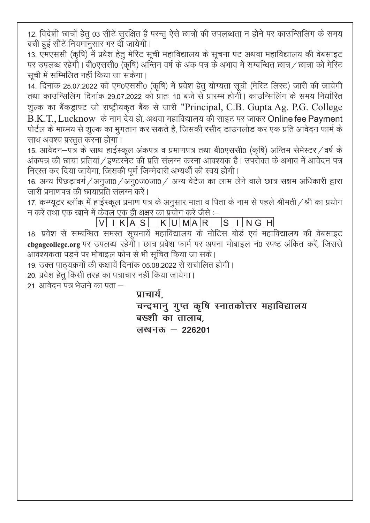12. विदेशी छात्रों हेतु 03 सीटें सुरक्षित हैं परन्तु ऐसे छात्रों की उपलब्धता न होने पर काउन्सिलिंग के समय बची हुई सीटें नियमानुसार भर दी जायेगी।

13. एमएससी (कृषि) में प्रवेश हेतु मेरिट सूची महाविद्यालय के सूचना पट अथवा महाविद्यालय की वेबसाइट पर उपलब्ध रहेगो। बी0एससी0 (कृषि) अन्तिम वर्ष के अंक पत्र के अभाव में सम्बन्धित छात्र / छात्रा को मेरिट सूची में सम्मिलित नहीं किया जा सकेगा।

14. दिनांक 25.07.2022 को एम0एससी0 (कृषि) में प्रवेश हेतु योग्यता सूची (मेरिट लिस्ट) जारी की जायेगी तथा काउन्सिलिंग दिनांक 29.07.2022 को प्रातः 10 बजे से प्रारम्भ होगी। काउन्सिलिंग के समय निर्धारित शुल्क का बैंकड्राफ्ट जो राष्ट्रीयकृत बैंक से जारी "Principal, C.B. Gupta Ag. P.G. College B.K.T., Lucknow के नाम देय हो, अथवा महाविद्यालय की साइट पर जाकर Online fee Payment पोर्टल के माध्मय से शुल्क का भुगतान कर सकते है, जिसकी रसीद डाउनलोड कर एक प्रति आवेदन फार्म के साथ अवश्य प्रस्तत करना होगा।

15. आवेदन–पत्र के साथ हाईस्कूल अंकपत्र व प्रमाणपत्र तथा बी0एससी0 (कृषि) अन्तिम सेमेस्टर/वर्ष के अंकपत्र की छाया प्रतियां / इण्टरनेट की प्रति संलग्न करना आवश्यक है। उपरोक्त के अभाव में आवेदन पत्र निरस्त कर दिया जायेगा, जिसकी पूर्ण जिम्मेदारी अभ्यर्थी की स्वयं होगी।

16. अन्य पिछड़ावर्ग /अनुजा0 /अनु0ज0जा0 / अन्य वेटेज का लाभ लेने वाले छात्र सक्षम अधिकारी द्वारा जारी प्रमाणपत्र की छायाप्रति संलग्न करें।

17. कम्प्यूटर ब्लॉक में हाईस्कूल प्रमाण पत्र के अनुसार माता व पिता के नाम से पहले श्रीमती / श्री का प्रयोग न करें तथा एक खाने में केवल एक ही अक्षर का प्रयोग करें जैसे :–

 $V$  I K A S K U M A R S I N G H

18. प्रवेश से सम्बन्धित समस्त सूचनायें महाविद्यालय के नोटिस बोर्ड एवं महाविद्यालय की वेबसाइट cbgagcollege.org पर उपलब्ध रहेगी। छात्र प्रवेश फार्म पर अपना मोबाइल नं0 स्पष्ट अंकित करें, जिससे आवश्यकता पडने पर मोबाइल फोन से भी सुचित किया जा सके।

19. उक्त पाठयक्रमों की कक्षायें दिनांक 05.08.2022 से सचालित होगी।

20. प्रवेश हेतू किसी तरह का पत्राचार नहीं किया जायेगा।

21- आवेदन पत्र भेजने का पता $-$ 

#### <u>पाचार्य</u>

चन्द्रभानु गुप्त कृषि स्नातकोत्तर महाविद्यालय बख्शी का तालाब. **y[kuÅ & 226201**